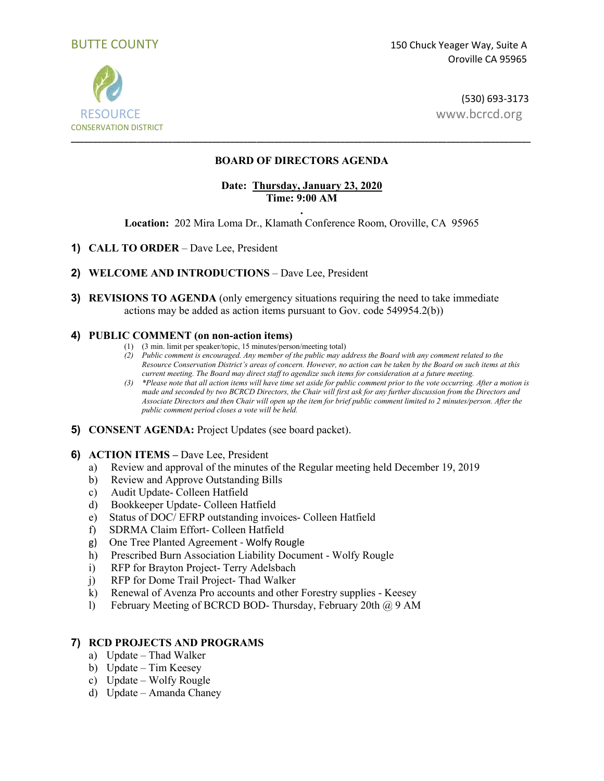



(530) 693-3173

# **BOARD OF DIRECTORS AGENDA**

# **Date: Thursday, January 23, 2020 Time: 9:00 AM**

**. Location:** 202 Mira Loma Dr., Klamath Conference Room, Oroville, CA 95965

- **1) CALL TO ORDER**  Dave Lee, President
- **2) WELCOME AND INTRODUCTIONS**  Dave Lee, President
- **3) REVISIONS TO AGENDA** (only emergency situations requiring the need to take immediate actions may be added as action items pursuant to Gov. code 549954.2(b))

### **4) PUBLIC COMMENT (on non-action items)**

- (1) (3 min. limit per speaker/topic, 15 minutes/person/meeting total)
- *(2) Public comment is encouraged. Any member of the public may address the Board with any comment related to the Resource Conservation District's areas of concern. However, no action can be taken by the Board on such items at this current meeting. The Board may direct staff to agendize such items for consideration at a future meeting.*
- *(3) \*Please note that all action items will have time set aside for public comment prior to the vote occurring. After a motion is made and seconded by two BCRCD Directors, the Chair will first ask for any further discussion from the Directors and Associate Directors and then Chair will open up the item for brief public comment limited to 2 minutes/person. After the public comment period closes a vote will be held.*
- **5) CONSENT AGENDA:** Project Updates (see board packet).
- **6) ACTION ITEMS –** Dave Lee, President
	- a) Review and approval of the minutes of the Regular meeting held December 19, 2019
	- b) Review and Approve Outstanding Bills
	- c) Audit Update- Colleen Hatfield
	- d) Bookkeeper Update- Colleen Hatfield
	- e) Status of DOC/ EFRP outstanding invoices- Colleen Hatfield
	- f) SDRMA Claim Effort- Colleen Hatfield
	- g) One Tree Planted Agreement Wolfy Rougle
	- h) Prescribed Burn Association Liability Document Wolfy Rougle
	- i) RFP for Brayton Project- Terry Adelsbach
	- j) RFP for Dome Trail Project- Thad Walker
	- k) Renewal of Avenza Pro accounts and other Forestry supplies Keesey
	- l) February Meeting of BCRCD BOD- Thursday, February 20th @ 9 AM

### **7) RCD PROJECTS AND PROGRAMS**

- a) Update Thad Walker
- b) Update Tim Keesey
- c) Update Wolfy Rougle
- d) Update Amanda Chaney